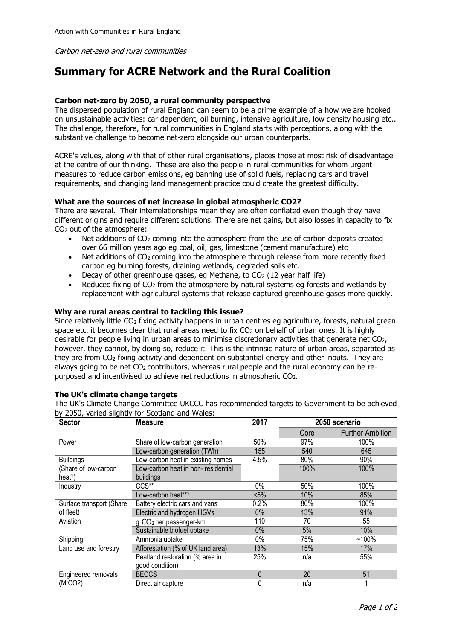Carbon net-zero and rural communities

# **Summary for ACRE Network and the Rural Coalition**

## **Carbon net-zero by 2050, a rural community perspective**

The dispersed population of rural England can seem to be a prime example of a how we are hooked on unsustainable activities: car dependent, oil burning, intensive agriculture, low density housing etc.. The challenge, therefore, for rural communities in England starts with perceptions, along with the substantive challenge to become net-zero alongside our urban counterparts.

ACRE's values, along with that of other rural organisations, places those at most risk of disadvantage at the centre of our thinking. These are also the people in rural communities for whom urgent measures to reduce carbon emissions, eg banning use of solid fuels, replacing cars and travel requirements, and changing land management practice could create the greatest difficulty.

## **What are the sources of net increase in global atmospheric CO2?**

There are several. Their interrelationships mean they are often conflated even though they have different origins and require different solutions. There are net gains, but also losses in capacity to fix CO<sup>2</sup> out of the atmosphere:

- Net additions of CO<sub>2</sub> coming into the atmosphere from the use of carbon deposits created over 66 million years ago eg coal, oil, gas, limestone (cement manufacture) etc
- Net additions of CO<sub>2</sub> coming into the atmosphere through release from more recently fixed carbon eg burning forests, draining wetlands, degraded soils etc.
- Decay of other greenhouse gases, eg Methane, to  $CO<sub>2</sub>$  (12 year half life)
- Reduced fixing of  $CO<sub>2</sub>$  from the atmosphere by natural systems eg forests and wetlands by replacement with agricultural systems that release captured greenhouse gases more quickly.

#### **Why are rural areas central to tackling this issue?**

Since relatively little  $CO<sub>2</sub>$  fixing activity happens in urban centres eg agriculture, forests, natural green space etc. it becomes clear that rural areas need to fix  $CO<sub>2</sub>$  on behalf of urban ones. It is highly desirable for people living in urban areas to minimise discretionary activities that generate net CO2, however, they cannot, by doing so, reduce it. This is the intrinsic nature of urban areas, separated as they are from CO<sup>2</sup> fixing activity and dependent on substantial energy and other inputs. They are always going to be net  $CO<sub>2</sub>$  contributors, whereas rural people and the rural economy can be repurposed and incentivised to achieve net reductions in atmospheric CO2.

#### **The UK's climate change targets**

The UK's Climate Change Committee UKCCC has recommended targets to Government to be achieved by 2050, varied slightly for Scotland and Wales:

| <b>Sector</b>            | <b>Measure</b>                      | 2017         | 2050 scenario |                         |
|--------------------------|-------------------------------------|--------------|---------------|-------------------------|
|                          |                                     |              | Core          | <b>Further Ambition</b> |
| Power                    | Share of low-carbon generation      | 50%          | 97%           | 100%                    |
|                          | Low-carbon generation (TWh)         | 155          | 540           | 645                     |
| <b>Buildings</b>         | Low-carbon heat in existing homes   | 4.5%         | 80%           | 90%                     |
| (Share of low-carbon     | Low-carbon heat in non- residential |              | 100%          | 100%                    |
| heat*)                   | buildings                           |              |               |                         |
| Industry                 | CCS**                               | $0\%$        | 50%           | 100%                    |
|                          | Low-carbon heat***                  | $< 5\%$      | 10%           | 85%                     |
| Surface transport (Share | Battery electric cars and vans      | 0.2%         | 80%           | 100%                    |
| of fleet)                | Electric and hydrogen HGVs          | 0%           | 13%           | 91%                     |
| Aviation                 | g CO <sub>2</sub> per passenger-km  | 110          | 70            | 55                      |
|                          | Sustainable biofuel uptake          | 0%           | 5%            | 10%                     |
| Shipping                 | Ammonia uptake                      | $0\%$        | 75%           | $~100\%$                |
| Land use and forestry    | Afforestation (% of UK land area)   | 13%          | 15%           | 17%                     |
|                          | Peatland restoration (% area in     | 25%          | n/a           | 55%                     |
|                          | good condition)                     |              |               |                         |
| Engineered removals      | <b>BECCS</b>                        | $\mathbf{0}$ | 20            | 51                      |
| (MtCO2)                  | Direct air capture                  | 0            | n/a           |                         |